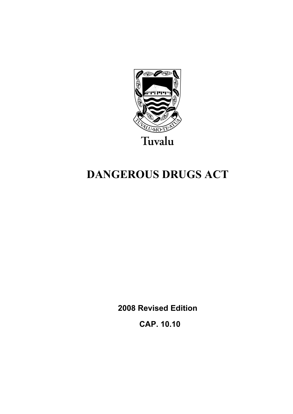

# **DANGEROUS DRUGS ACT**

**2008 Revised Edition** 

 **CAP. 10.10**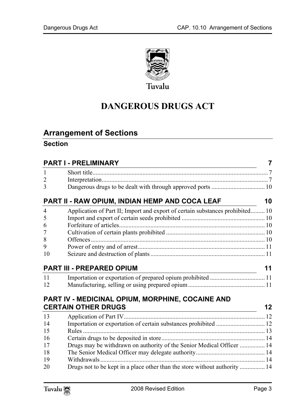

## **DANGEROUS DRUGS ACT**

## **Arrange[ment of Sections](#page-6-1)**

## **Section**

|                | <b>PART I - PRELIMINARY</b>                                                   | $\overline{7}$ |
|----------------|-------------------------------------------------------------------------------|----------------|
| 1              |                                                                               |                |
| $\overline{2}$ |                                                                               |                |
| 3              |                                                                               |                |
|                | PART II - RAW OPIUM, INDIAN HEMP AND COCA LEAF                                | 10             |
| $\overline{4}$ | Application of Part II; Import and export of certain substances prohibited 10 |                |
| 5              |                                                                               |                |
| 6              |                                                                               |                |
| 7              |                                                                               |                |
| 8              |                                                                               |                |
| 9              |                                                                               |                |
| 10             |                                                                               |                |
|                | <b>PART III - PREPARED OPIUM</b>                                              | 11             |
| 11             |                                                                               |                |
| 12             |                                                                               |                |
|                | PART IV - MEDICINAL OPIUM, MORPHINE, COCAINE AND                              |                |
|                | <b>CERTAIN OTHER DRUGS</b>                                                    | 12             |
| 13             |                                                                               |                |
| 14             |                                                                               |                |
| 15             |                                                                               |                |
| 16             |                                                                               |                |
| 17             | Drugs may be withdrawn on authority of the Senior Medical Officer  14         |                |
| 18             |                                                                               |                |
| 19             |                                                                               |                |
| 20             | Drugs not to be kept in a place other than the store without authority  14    |                |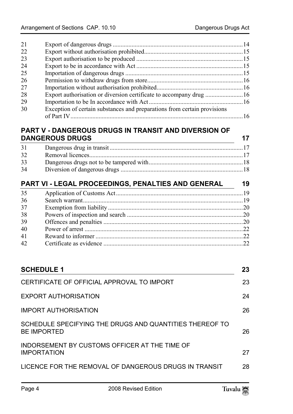| 21 |                                                                          |  |
|----|--------------------------------------------------------------------------|--|
| 22 |                                                                          |  |
| 23 |                                                                          |  |
| 24 |                                                                          |  |
| 25 |                                                                          |  |
| 26 |                                                                          |  |
| 27 |                                                                          |  |
| 28 |                                                                          |  |
| 29 |                                                                          |  |
| 30 | Exception of certain substances and preparations from certain provisions |  |
|    |                                                                          |  |

## **PART V - D[ANGEROUS DRUGS IN TRANSIT AND DIVERSION OF](#page-17-1)  DANGEROUS DRUGS** 17

| 31 |  |
|----|--|
| 32 |  |
| 33 |  |
| 34 |  |
|    |  |

| PART VI - LEGAL PROCEEDINGS, PENALTIES AND GENERAL |  |  |
|----------------------------------------------------|--|--|
| 35                                                 |  |  |
| 36                                                 |  |  |
| 37                                                 |  |  |
| 38                                                 |  |  |
| 39                                                 |  |  |
| 40                                                 |  |  |
| 41                                                 |  |  |
| 42                                                 |  |  |
|                                                    |  |  |

| <b>SCHEDULE 1</b>                                                             | 23 |
|-------------------------------------------------------------------------------|----|
| CERTIFICATE OF OFFICIAL APPROVAL TO IMPORT                                    | 23 |
| EXPORT AUTHORISATION                                                          | 24 |
| <b>IMPORT AUTHORISATION</b>                                                   | 26 |
| SCHEDULE SPECIFYING THE DRUGS AND QUANTITIES THEREOF TO<br><b>BE IMPORTED</b> | 26 |
| INDORSEMENT BY CUSTOMS OFFICER AT THE TIME OF<br><b>IMPORTATION</b>           | 27 |
| LICENCE FOR THE REMOVAL OF DANGEROUS DRUGS IN TRANSIT                         | 28 |
|                                                                               |    |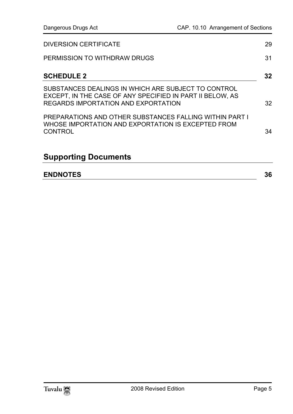| <b>ENDNOTES</b>                                                                                                                                         | 36 |
|---------------------------------------------------------------------------------------------------------------------------------------------------------|----|
| <b>Supporting Documents</b>                                                                                                                             |    |
| PREPARATIONS AND OTHER SUBSTANCES FALLING WITHIN PART I<br>WHOSE IMPORTATION AND EXPORTATION IS EXCEPTED FROM<br>CONTROL                                | 34 |
| SUBSTANCES DEALINGS IN WHICH ARE SUBJECT TO CONTROL<br>EXCEPT, IN THE CASE OF ANY SPECIFIED IN PART II BELOW, AS<br>REGARDS IMPORTATION AND EXPORTATION | 32 |
| <b>SCHEDULE 2</b>                                                                                                                                       | 32 |
| PERMISSION TO WITHDRAW DRUGS                                                                                                                            | 31 |
| DIVERSION CERTIFICATE                                                                                                                                   | 29 |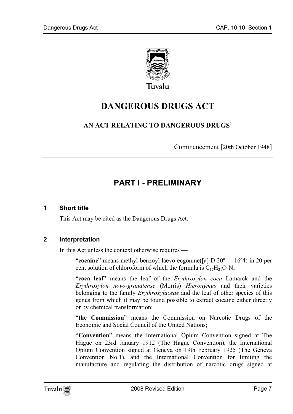

## **DANGEROUS DRUGS ACT**

## **AN ACT RELATING TO DANGEROUS DRUGS**<sup>1</sup>

<span id="page-6-0"></span>Commencement [20th October 1948]

## <span id="page-6-1"></span>**PART I - PRELIMINARY**

#### **1 Short title**

This Act may be cited as the Dangerous Drugs Act.

### **2 Interpretation**

In this Act unless the context otherwise requires —

"**cocaine**" means methyl-benzoyl laevo-ecgonine([a] D 20<sup>o</sup> = -16<sup>o</sup>4) in 20 per cent solution of chloroform of which the formula is  $C_{17}H_{21}O_4N$ ;

"**coca leaf**" means the leaf of the *Erythroxylon coca* Lamarck and the *Erythroxylon novo-granatense* (Morris) *Hieronymus* and their varieties belonging to the family *Erythroxylaceae* and the leaf of other species of this genus from which it may be found possible to extract cocaine either directly or by chemical transformation;

"**the Commission**" means the Commission on Narcotic Drugs of the Economic and Social Council of the United Nations;

"**Convention**" means the International Opium Convention signed at The Hague on 23rd January 1912 (The Hague Convention), the International Opium Convention signed at Geneva on 19th February 1925 (The Geneva Convention No.1), and the International Convention for limiting the manufacture and regulating the distribution of narcotic drugs signed at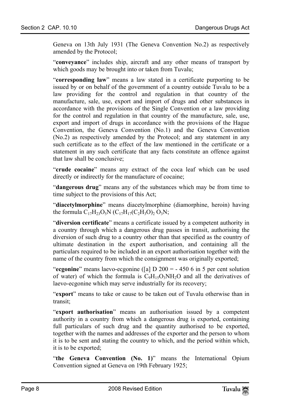Geneva on 13th July 1931 (The Geneva Convention No.2) as respectively amended by the Protocol;

"**conveyance**" includes ship, aircraft and any other means of transport by which goods may be brought into or taken from Tuvalu;

"**corresponding law**" means a law stated in a certificate purporting to be issued by or on behalf of the government of a country outside Tuvalu to be a law providing for the control and regulation in that country of the manufacture, sale, use, export and import of drugs and other substances in accordance with the provisions of the Single Convention or a law providing for the control and regulation in that country of the manufacture, sale, use, export and import of drugs in accordance with the provisions of the Hague Convention, the Geneva Convention (No.1) and the Geneva Convention (No.2) as respectively amended by the Protocol; and any statement in any such certificate as to the effect of the law mentioned in the certificate or a statement in any such certificate that any facts constitute an offence against that law shall be conclusive;

"**crude cocaine**" means any extract of the coca leaf which can be used directly or indirectly for the manufacture of cocaine;

"**dangerous drug**" means any of the substances which may be from time to time subject to the provisions of this Act;

"**diacetylmorphine**" means diacetylmorphine (diamorphine, heroin) having the formula  $C_{17}H_{23}O_5N$  ( $C_{17}H_{17}(C_2H_3O)$ )<sub>2</sub>  $O_3N$ ;

"**diversion certificate**" means a certificate issued by a competent authority in a country through which a dangerous drug passes in transit, authorising the diversion of such drug to a country other than that specified as the country of ultimate destination in the export authorisation, and containing all the particulars required to be included in an export authorisation together with the name of the country from which the consignment was originally exported;

"**ecgonine**" means laevo-ecgonine ([a] D 200 = - 450 6 in 5 per cent solution of water) of which the formula is  $C_9H_{15}O_3NH_2O$  and all the derivatives of laevo-ecgonine which may serve industrially for its recovery;

"**export**" means to take or cause to be taken out of Tuvalu otherwise than in transit;

"**export authorisation**" means an authorisation issued by a competent authority in a country from which a dangerous drug is exported, containing full particulars of such drug and the quantity authorised to be exported, together with the names and addresses of the exporter and the person to whom it is to be sent and stating the country to which, and the period within which, it is to be exported;

"**the Geneva Convention (No. 1)**" means the International Opium Convention signed at Geneva on 19th February 1925;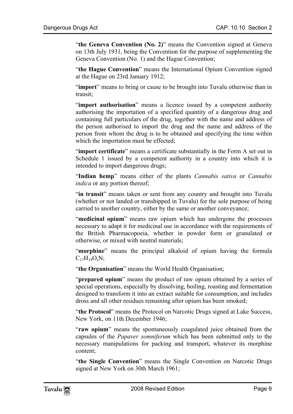"**the Geneva Convention (No. 2)**" means the Convention signed at Geneva on 13th July 1931, being the Convention for the purpose of supplementing the Geneva Convention (No. 1) and the Hague Convention;

"**the Hague Convention**" means the International Opium Convention signed at the Hague on 23rd January 1912;

"**import**" means to bring or cause to be brought into Tuvalu otherwise than in transit;

"**import authorisation**" means a licence issued by a competent authority authorising the importation of a specified quantity of a dangerous drug and containing full particulars of the drug, together with the name and address of the person authorised to import the drug and the name and address of the person from whom the drug is to be obtained and specifying the time within which the importation must be effected;

"**import certificate**" means a certificate substantially in the Form A set out in Schedule 1 issued by a competent authority in a country into which it is intended to import dangerous drugs;

"**Indian hemp**" means either of the plants *Cannabis sativa* or *Cannabis indica* or any portion thereof;

"**in transit**" means taken or sent from any country and brought into Tuvalu (whether or not landed or transhipped in Tuvalu) for the sole purpose of being carried to another country, either by the same or another conveyance;

"**medicinal opium**" means raw opium which has undergone the processes necessary to adapt it for medicinal use in accordance with the requirements of the British Pharmacopoeia, whether in powder form or granulated or otherwise, or mixed with neutral materials;

"**morphine**" means the principal alkaloid of opium having the formula  $C_{17}H_{19}O_8N;$ 

"**the Organisation**" means the World Health Organisation;

"**prepared opium**" means the product of raw opium obtained by a series of special operations, especially by dissolving, boiling, roasting and fermentation designed to transform it into an extract suitable for consumption, and includes dross and all other residues remaining after opium has been smoked;

"**the Protocol**" means the Protocol on Narcotic Drugs signed at Lake Success, New York, on 11th December 1946;

"**raw opium**" means the spontaneously coagulated juice obtained from the capsules of the *Papaver somniferum* which has been submitted only to the necessary manipulations for packing and transport, whatever its morphine content;

"**the Single Convention**" means the Single Convention on Narcotic Drugs signed at New York on 30th March 1961;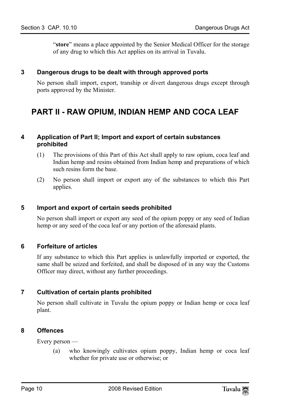"**store**" means a place appointed by the Senior Medical Officer for the storage of any drug to which this Act applies on its arrival in Tuvalu.

### **3 Dangerous drugs to be dealt with through approved ports**

<span id="page-9-1"></span><span id="page-9-0"></span>No person shall import, export, tranship or divert dangerous drugs except through ports approved by the Minister.

## **PART II - RAW OPIUM, INDIAN HEMP AND COCA LEAF**

### **4 Application of Part II; Import and export of certain substances prohibited**

- (1) The provisions of this Part of this Act shall apply to raw opium, coca leaf and Indian hemp and resins obtained from Indian hemp and preparations of which such resins form the base.
- <span id="page-9-2"></span>(2) No person shall import or export any of the substances to which this Part applies.

### **5 Import and export of certain seeds prohibited**

<span id="page-9-3"></span>No person shall import or export any seed of the opium poppy or any seed of Indian hemp or any seed of the coca leaf or any portion of the aforesaid plants.

### **6 Forfeiture of articles**

<span id="page-9-4"></span>If any substance to which this Part applies is unlawfully imported or exported, the same shall be seized and forfeited, and shall be disposed of in any way the Customs Officer may direct, without any further proceedings.

## **7 Cultivation of certain plants prohibited**

<span id="page-9-5"></span>No person shall cultivate in Tuvalu the opium poppy or Indian hemp or coca leaf plant.

### **8 Offences**

Every person —

(a) who knowingly cultivates opium poppy, Indian hemp or coca leaf whether for private use or otherwise; or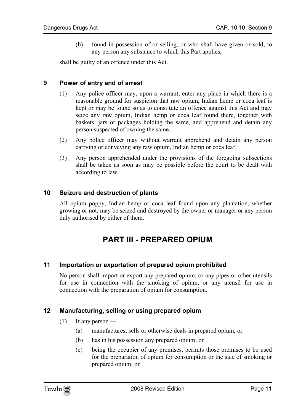<span id="page-10-0"></span>(b) found in possession of or selling, or who shall have given or sold, to any person any substance to which this Part applies;

shall be guilty of an offence under this Act.

## **9 Power of entry and of arrest**

- (1) Any police officer may, upon a warrant, enter any place in which there is a reasonable ground for suspicion that raw opium, Indian hemp or coca leaf is kept or may be found so as to constitute an offence against this Act and may seize any raw opium, Indian hemp or coca leaf found there, together with baskets, jars or packages holding the same, and apprehend and detain any person suspected of owning the same.
- (2) Any police officer may without warrant apprehend and detain any person carrying or conveying any raw opium, Indian hemp or coca leaf.
- <span id="page-10-1"></span>(3) Any person apprehended under the provisions of the foregoing subsections shall be taken as soon as may be possible before the court to be dealt with according to law.

### **10 Seizure and destruction of plants**

All opium poppy, Indian hemp or coca leaf found upon any plantation, whether growing or not, may be seized and destroyed by the owner or manager or any person duly authorised by either of them.

## <span id="page-10-3"></span><span id="page-10-2"></span>**PART III - PREPARED OPIUM**

### **11 Importation or exportation of prepared opium prohibited**

<span id="page-10-4"></span>No person shall import or export any prepared opium, or any pipes or other utensils for use in connection with the smoking of opium, or any utensil for use in connection with the preparation of opium for consumption.

### **12 Manufacturing, selling or using prepared opium**

- $(1)$  If any person
	- (a) manufactures, sells or otherwise deals in prepared opium; or
	- (b) has in his possession any prepared opium; or
	- (c) being the occupier of any premises, permits those premises to be used for the preparation of opium for consumption or the sale of smoking or prepared opium; or

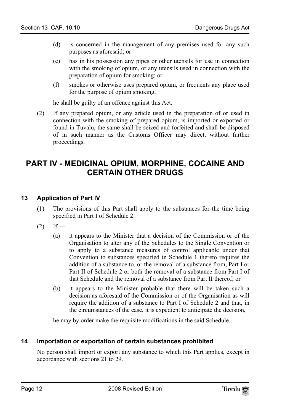- (d) is concerned in the management of any premises used for any such purposes as aforesaid; or
- (e) has in his possession any pipes or other utensils for use in connection with the smoking of opium, or any utensils used in connection with the preparation of opium for smoking; or
- (f) smokes or otherwise uses prepared opium, or frequents any place used for the purpose of opium smoking,

<span id="page-11-0"></span>he shall be guilty of an offence against this Act.

(2) If any prepared opium, or any article used in the preparation of or used in connection with the smoking of prepared opium, is imported or exported or found in Tuvalu, the same shall be seized and forfeited and shall be disposed of in such manner as the Customs Officer may direct, without further proceedings.

## <span id="page-11-1"></span>**PART IV - MEDICINAL OPIUM, MORPHINE, COCAINE AND CERTAIN OTHER DRUGS**

## **13 Application of Part IV**

- (1) The provisions of this Part shall apply to the substances for the time being specified in Part I of Schedule 2.
- $(2)$  If
	- (a) it appears to the Minister that a decision of the Commission or of the Organisation to alter any of the Schedules to the Single Convention or to apply to a substance measures of control applicable under that Convention to substances specified in Schedule 1 thereto requires the addition of a substance to, or the removal of a substance from, Part I or Part II of Schedule 2 or both the removal of a substance from Part I of that Schedule and the removal of a substance from Part II thereof; or
	- (b) it appears to the Minister probable that there will be taken such a decision as aforesaid of the Commission or of the Organisation as will require the addition of a substance to Part I of Schedule 2 and that, in the circumstances of the case, it is expedient to anticipate the decision,

<span id="page-11-2"></span>he may by order make the requisite modifications in the said Schedule.

### **14 Importation or exportation of certain substances prohibited**

No person shall import or export any substance to which this Part applies, except in accordance with sections 21 to 29.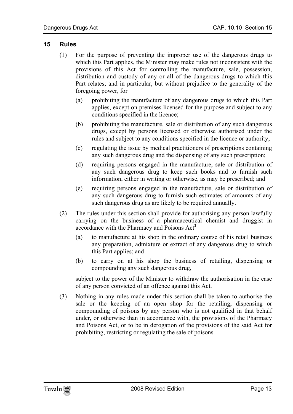### **15 Rules**

- <span id="page-12-0"></span>(1) For the purpose of preventing the improper use of the dangerous drugs to which this Part applies, the Minister may make rules not inconsistent with the provisions of this Act for controlling the manufacture, sale, possession, distribution and custody of any or all of the dangerous drugs to which this Part relates; and in particular, but without prejudice to the generality of the foregoing power, for —
	- (a) prohibiting the manufacture of any dangerous drugs to which this Part applies, except on premises licensed for the purpose and subject to any conditions specified in the licence;
	- (b) prohibiting the manufacture, sale or distribution of any such dangerous drugs, except by persons licensed or otherwise authorised under the rules and subject to any conditions specified in the licence or authority;
	- (c) regulating the issue by medical practitioners of prescriptions containing any such dangerous drug and the dispensing of any such prescription;
	- (d) requiring persons engaged in the manufacture, sale or distribution of any such dangerous drug to keep such books and to furnish such information, either in writing or otherwise, as may be prescribed; and
	- (e) requiring persons engaged in the manufacture, sale or distribution of any such dangerous drug to furnish such estimates of [a](#page-35-1)mounts of any such dangerous drug as are likely to be required annually.
- (2) The rules under this section shall provide for authorising any person lawfully carrying on the business of a pharmaceutical chemist and druggist in accordance with the Pharmacy and Poisons Act**<sup>2</sup>** —
	- (a) to manufacture at his shop in the ordinary course of his retail business any preparation, admixture or extract of any dangerous drug to which this Part applies; and
	- (b) to carry on at his shop the business of retailing, dispensing or compounding any such dangerous drug,

subject to the power of the Minister to withdraw the authorisation in the case of any person convicted of an offence against this Act.

(3) Nothing in any rules made under this section shall be taken to authorise the sale or the keeping of an open shop for the retailing, dispensing or compounding of poisons by any person who is not qualified in that behalf under, or otherwise than in accordance with, the provisions of the Pharmacy and Poisons Act, or to be in derogation of the provisions of the said Act for prohibiting, restricting or regulating the sale of poisons.

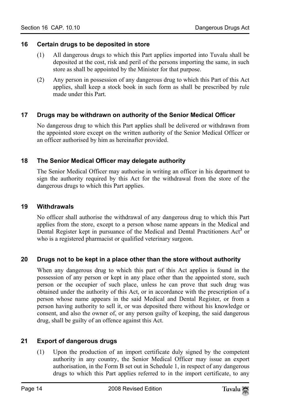### **16 Certain drugs to be deposited in store**

- <span id="page-13-0"></span>(1) All dangerous drugs to which this Part applies imported into Tuvalu shall be deposited at the cost, risk and peril of the persons importing the same, in such store as shall be appointed by the Minister for that purpose.
- <span id="page-13-1"></span>(2) Any person in possession of any dangerous drug to which this Part of this Act applies, shall keep a stock book in such form as shall be prescribed by rule made under this Part.

## **17 Drugs may be withdrawn on authority of the Senior Medical Officer**

<span id="page-13-2"></span>No dangerous drug to which this Part applies shall be delivered or withdrawn from the appointed store except on the written authority of the Senior Medical Officer or an officer authorised by him as hereinafter provided.

## **18 The Senior Medical Officer may delegate authority**

<span id="page-13-3"></span>The Senior Medical Officer may authorise in writing an officer in his department to sign the authority required by this Act for the withdrawal from the store of the dangerous drugs to which this Part applies.

### **19 Withdrawals**

<span id="page-13-4"></span>No officer shall authorise the withdrawal of any dangerous drug to which this Part applies from the store, except to a person whose name appears in the Medical and Dental Register kept in pursuance of the Medical and Dental Practitioners Act<sup>3</sup> or who is a registered pharmacist or qualified veterinary surgeon.

### **20 Drugs not to be kept in a place other than the store without authority**

When any dangerous drug to which this part of this Act applies is found in the possession of any person or kept in any place other than the appointed store, such person or the occupier of such place, unless he can prove that such drug was obtained under the authority of this Act, or in accordance with the prescription of a person whose name appears in the said Medical and Dental Register, or from a person having authority to sell it, or was deposited there without his knowledge or consent, and also the owner of, or any person guilty of keeping, the said dangerous drug, shall be guilty of an offence against this Act.

## **21 Export of dangerous drugs**

(1) Upon the production of an import certificate duly signed by the competent authority in any country, the Senior Medical Officer may issue an export authorisation, in the Form B set out in Schedule 1, in respect of any dangerous drugs to which this Part applies referred to in the import certificate, to any

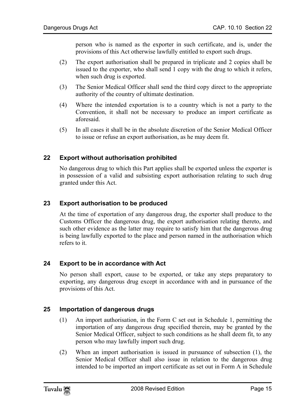person who is named as the exporter in such certificate, and is, under the provisions of this Act otherwise lawfully entitled to export such drugs.

- (2) The export authorisation shall be prepared in triplicate and 2 copies shall be issued to the exporter, who shall send 1 copy with the drug to which it refers, when such drug is exported.
- (3) The Senior Medical Officer shall send the third copy direct to the appropriate authority of the country of ultimate destination.
- (4) Where the intended exportation is to a country which is not a party to the Convention, it shall not be necessary to produce an import certificate as aforesaid.
- (5) In all cases it shall be in the absolute discretion of the Senior Medical Officer to issue or refuse an export authorisation, as he may deem fit.

## **22 Export without authorisation prohibited**

<span id="page-14-0"></span>No dangerous drug to which this Part applies shall be exported unless the exporter is in possession of a valid and subsisting export authorisation relating to such drug granted under this Act.

### **23 Export authorisation to be produced**

<span id="page-14-1"></span>At the time of exportation of any dangerous drug, the exporter shall produce to the Customs Officer the dangerous drug, the export authorisation relating thereto, and such other evidence as the latter may require to satisfy him that the dangerous drug is being lawfully exported to the place and person named in the authorisation which refers to it.

### **24 Export to be in accordance with Act**

No person shall export, cause to be exported, or take any steps preparatory to exporting, any dangerous drug except in accordance with and in pursuance of the provisions of this Act.

### **25 Importation of dangerous drugs**

- (1) An import authorisation, in the Form C set out in Schedule 1, permitting the importation of any dangerous drug specified therein, may be granted by the Senior Medical Officer, subject to such conditions as he shall deem fit, to any person who may lawfully import such drug.
- (2) When an import authorisation is issued in pursuance of subsection (1), the Senior Medical Officer shall also issue in relation to the dangerous drug intended to be imported an import certificate as set out in Form A in Schedule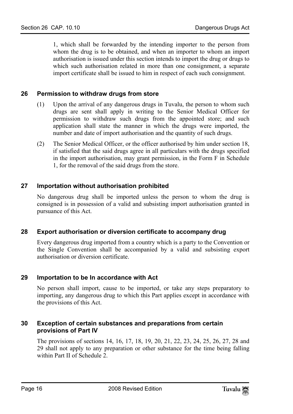<span id="page-15-0"></span>1, which shall be forwarded by the intending importer to the person from whom the drug is to be obtained, and when an importer to whom an import authorisation is issued under this section intends to import the drug or drugs to which such authorisation related in more than one consignment, a separate import certificate shall be issued to him in respect of each such consignment.

## **26 Permission to withdraw drugs from store**

- (1) Upon the arrival of any dangerous drugs in Tuvalu, the person to whom such drugs are sent shall apply in writing to the Senior Medical Officer for permission to withdraw such drugs from the appointed store; and such application shall state the manner in which the drugs were imported, the number and date of import authorisation and the quantity of such drugs.
- <span id="page-15-1"></span>(2) The Senior Medical Officer, or the officer authorised by him under section 18, if satisfied that the said drugs agree in all particulars with the drugs specified in the import authorisation, may grant permission, in the Form F in Schedule 1, for the removal of the said drugs from the store.

## **27 Importation without authorisation prohibited**

<span id="page-15-2"></span>No dangerous drug shall be imported unless the person to whom the drug is consigned is in possession of a valid and subsisting import authorisation granted in pursuance of this Act.

### **28 Export authorisation or diversion certificate to accompany drug**

<span id="page-15-3"></span>Every dangerous drug imported from a country which is a party to the Convention or the Single Convention shall be accompanied by a valid and subsisting export authorisation or diversion certificate.

### **29 Importation to be In accordance with Act**

<span id="page-15-4"></span>No person shall import, cause to be imported, or take any steps preparatory to importing, any dangerous drug to which this Part applies except in accordance with the provisions of this Act.

### **30 Exception of certain substances and preparations from certain provisions of Part IV**

The provisions of sections 14, 16, 17, 18, 19, 20, 21, 22, 23, 24, 25, 26, 27, 28 and 29 shall not apply to any preparation or other substance for the time being falling within Part II of Schedule 2.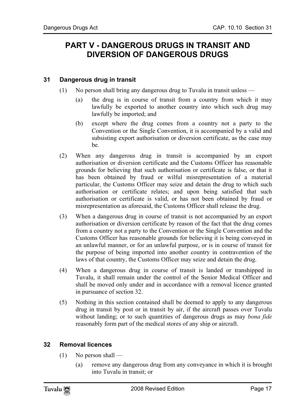## <span id="page-16-1"></span><span id="page-16-0"></span>**PART V - DANGEROUS DRUGS IN TRANSIT AND DIVERSION OF DANGEROUS DRUGS**

## **31 Dangerous drug in transit**

- (1) No person shall bring any dangerous drug to Tuvalu in transit unless
	- (a) the drug is in course of transit from a country from which it may lawfully be exported to another country into which such drug may lawfully be imported; and
	- (b) except where the drug comes from a country not a party to the Convention or the Single Convention, it is accompanied by a valid and subsisting export authorisation or diversion certificate, as the case may be.
- (2) When any dangerous drug in transit is accompanied by an export authorisation or diversion certificate and the Customs Officer has reasonable grounds for believing that such authorisation or certificate is false, or that it has been obtained by fraud or wilful misrepresentation of a material particular, the Customs Officer may seize and detain the drug to which such authorisation or certificate relates; and upon being satisfied that such authorisation or certificate is valid, or has not been obtained by fraud or misrepresentation as aforesaid, the Customs Officer shall release the drug.
- (3) When a dangerous drug in course of transit is not accompanied by an export authorisation or diversion certificate by reason of the fact that the drug comes from a country not a party to the Convention or the Single Convention and the Customs Officer has reasonable grounds for believing it is being conveyed in an unlawful manner, or for an unlawful purpose, or is in course of transit for the purpose of being imported into another country in contravention of the laws of that country, the Customs Officer may seize and detain the drug.
- (4) When a dangerous drug in course of transit is landed or transhipped in Tuvalu, it shall remain under the control of the Senior Medical Officer and shall be moved only under and in accordance with a removal licence granted in pursuance of section 32.
- <span id="page-16-2"></span>(5) Nothing in this section contained shall be deemed to apply to any dangerous drug in transit by post or in transit by air, if the aircraft passes over Tuvalu without landing; or to such quantities of dangerous drugs as may *bona fide* reasonably form part of the medical stores of any ship or aircraft.

## **32 Removal licences**

- $(1)$  No person shall
	- (a) remove any dangerous drug from any conveyance in which it is brought into Tuvalu in transit; or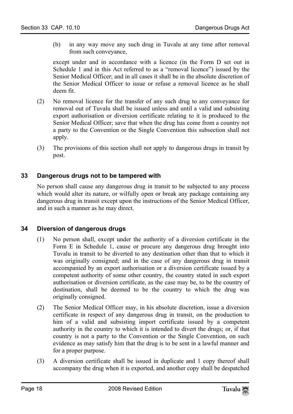(b) in any way move any such drug in Tuvalu at any time after removal from such conveyance,

except under and in accordance with a licence (in the Form D set out in Schedule 1 and in this Act referred to as a "removal licence") issued by the Senior Medical Officer; and in all cases it shall be in the absolute discretion of the Senior Medical Officer to issue or refuse a removal licence as he shall deem fit.

- (2) No removal licence for the transfer of any such drug to any conveyance for removal out of Tuvalu shall be issued unless and until a valid and subsisting export authorisation or diversion certificate relating to it is produced to the Senior Medical Officer; save that when the drug has come from a country not a party to the Convention or the Single Convention this subsection shall not apply.
- <span id="page-17-0"></span>(3) The provisions of this section shall not apply to dangerous drugs in transit by post.

## **33 Dangerous drugs not to be tampered with**

<span id="page-17-1"></span>No person shall cause any dangerous drug in transit to be subjected to any process which would alter its nature, or wilfully open or break any package containing any dangerous drug in transit except upon the instructions of the Senior Medical Officer, and in such a manner as he may direct.

### **34 Diversion of dangerous drugs**

- (1) No person shall, except under the authority of a diversion certificate in the Form E in Schedule 1, cause or procure any dangerous drug brought into Tuvalu in transit to be diverted to any destination other than that to which it was originally consigned; and in the case of any dangerous drug in transit accompanied by an export authorisation or a diversion certificate issued by a competent authority of some other country, the country stated in such export authorisation or diversion certificate, as the case may be, to be the country of destination, shall be deemed to be the country to which the drug was originally consigned.
- (2) The Senior Medical Officer may, in his absolute discretion, issue a diversion certificate in respect of any dangerous drug in transit, on the production to him of a valid and subsisting import certificate issued by a competent authority in the country to which it is intended to divert the drugs; or, if that country is not a party to the Convention or the Single Convention, on such evidence as may satisfy him that the drug is to be sent in a lawful manner and for a proper purpose.
- (3) A diversion certificate shall be issued in duplicate and 1 copy thereof shall accompany the drug when it is exported, and another copy shall be despatched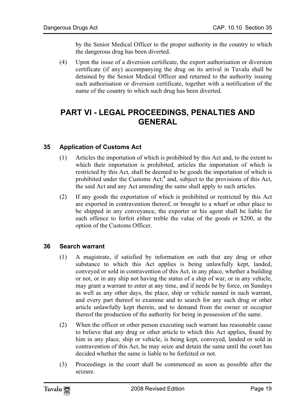<span id="page-18-0"></span>by the Senior Medical Officer to the proper authority in the country to which the dangerous drug has been diverted.

(4) Upon the issue of a diversion certificate, the export authorisation or diversion certificate (if any) accompanying the drug on its arrival in Tuvalu shall be detained by the Senior Medical Officer and returned to the authority issuing such authorisation or diversion certificate, together with a notification of the name of the country to which such drug has been diverted.

## <span id="page-18-1"></span>**PART VI - LEGAL PROCEEDINGS, PENALTIES AND GENERAL**

## **35 Application of Customs Act**

- (1) Articles the importation of which is prohibited by this Act and, to the extent to which their importation is prohibited, articles the importation of which is restricted by this Act, shall be deemed to be goods the importation of which is prohibited under the Customs Act;<sup>4</sup> and, subject to the provisions of this Act, the said Act and any Act amending the same shall apply to such articles.
- <span id="page-18-2"></span>(2) If any goods the exportation of which is prohibited or restricted by this Act are exported in contravention thereof, or brought to a wharf or other place to be shipped in any conveyance, the exporter or his agent shall be liable for each offence to forfeit either treble the value of the goods or \$200, at the option of the Customs Officer.

## **36 Search warrant**

- (1) A magistrate, if satisfied by information on oath that any drug or other substance to which this Act applies is being unlawfully kept, landed, conveyed or sold in contravention of this Act, in any place, whether a building or not, or in any ship not having the status of a ship of war, or in any vehicle, may grant a warrant to enter at any time, and if needs be by force, on Sundays as well as any other days, the place, ship or vehicle named in such warrant, and every part thereof to examine and to search for any such drug or other article unlawfully kept therein, and to demand from the owner or occupier thereof the production of the authority for being in possession of the same.
- (2) When the officer or other person executing such warrant has reasonable cause to believe that any drug or other article to which this Act applies, found by him in any place, ship or vehicle, is being kept, conveyed, landed or sold in contravention of this Act, he may seize and detain the same until the court has decided whether the same is liable to be forfeited or not.
- (3) Proceedings in the court shall be commenced as soon as possible after the seizure.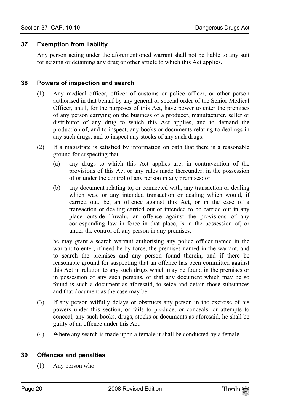## <span id="page-19-0"></span>**37 Exemption from liability**

<span id="page-19-1"></span>Any person acting under the aforementioned warrant shall not be liable to any suit for seizing or detaining any drug or other article to which this Act applies.

### **38 Powers of inspection and search**

- (1) Any medical officer, officer of customs or police officer, or other person authorised in that behalf by any general or special order of the Senior Medical Officer, shall, for the purposes of this Act, have power to enter the premises of any person carrying on the business of a producer, manufacturer, seller or distributor of any drug to which this Act applies, and to demand the production of, and to inspect, any books or documents relating to dealings in any such drugs, and to inspect any stocks of any such drugs.
- (2) If a magistrate is satisfied by information on oath that there is a reasonable ground for suspecting that —
	- (a) any drugs to which this Act applies are, in contravention of the provisions of this Act or any rules made thereunder, in the possession of or under the control of any person in any premises; or
	- (b) any document relating to, or connected with, any transaction or dealing which was, or any intended transaction or dealing which would, if carried out, be, an offence against this Act, or in the case of a transaction or dealing carried out or intended to be carried out in any place outside Tuvalu, an offence against the provisions of any corresponding law in force in that place, is in the possession of, or under the control of, any person in any premises,

he may grant a search warrant authorising any police officer named in the warrant to enter, if need be by force, the premises named in the warrant, and to search the premises and any person found therein, and if there be reasonable ground for suspecting that an offence has been committed against this Act in relation to any such drugs which may be found in the premises or in possession of any such persons, or that any document which may be so found is such a document as aforesaid, to seize and detain those substances and that document as the case may be.

- (3) If any person wilfully delays or obstructs any person in the exercise of his powers under this section, or fails to produce, or conceals, or attempts to conceal, any such books, drugs, stocks or documents as aforesaid, he shall be guilty of an offence under this Act.
- <span id="page-19-2"></span>(4) Where any search is made upon a female it shall be conducted by a female.

## **39 Offences and penalties**

(1) Any person who —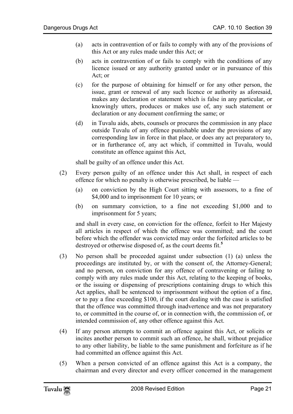- (a) acts in contravention of or fails to comply with any of the provisions of this Act or any rules made under this Act; or
- (b) acts in contravention of or fails to comply with the conditions of any licence issued or any authority granted under or in pursuance of this Act; or
- (c) for the purpose of obtaining for himself or for any other person, the issue, grant or renewal of any such licence or authority as aforesaid, makes any declaration or statement which is false in any particular, or knowingly utters, produces or makes use of, any such statement or declaration or any document confirming the same; or
- (d) in Tuvalu aids, abets, counsels or procures the commission in any place outside Tuvalu of any offence punishable under the provisions of any corresponding law in force in that place, or does any act preparatory to, or in furtherance of, any act which, if committed in Tuvalu, would constitute an offence against this Act,

shall be guilty of an offence under this Act.

- (2) Every person guilty of an offence under this Act shall, in respect of each offence for which no penalty is otherwise prescribed, be liable —
	- (a) on conviction by the High Court sitting with assessors, to a fine of \$4,000 and to imprisonment for 10 years; or
	- (b) on summary conviction, to a fine not exceeding \$1,000 a[nd](#page-35-2) to imprisonment for 5 years;

and shall in every case, on conviction for the offence, forfeit to Her Majesty all articles in respect of which the offence was committed; and the court before which the offender was convicted may order the forfeited articles to be destroyed or otherwise disposed of, as the court deems fit.**<sup>5</sup>**

- (3) No person shall be proceeded against under subsection (1) (a) unless the proceedings are instituted by, or with the consent of, the Attorney-General; and no person, on conviction for any offence of contravening or failing to comply with any rules made under this Act, relating to the keeping of books, or the issuing or dispensing of prescriptions containing drugs to which this Act applies, shall be sentenced to imprisonment without the option of a fine, or to pay a fine exceeding \$100, if the court dealing with the case is satisfied that the offence was committed through inadvertence and was not preparatory to, or committed in the course of, or in connection with, the commission of, or intended commission of, any other offence against this Act.
- (4) If any person attempts to commit an offence against this Act, or solicits or incites another person to commit such an offence, he shall, without prejudice to any other liability, be liable to the same punishment and forfeiture as if he had committed an offence against this Act.
- (5) When a person convicted of an offence against this Act is a company, the chairman and every director and every officer concerned in the management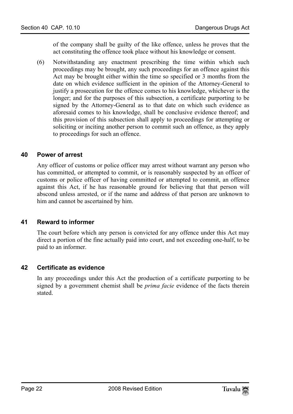of the company shall be guilty of the like offence, unless he proves that the act constituting the offence took place without his knowledge or consent.

(6) Notwithstanding any enactment prescribing the time within which such proceedings may be brought, any such proceedings for an offence against this Act may be brought either within the time so specified or 3 months from the date on which evidence sufficient in the opinion of the Attorney-General to justify a prosecution for the offence comes to his knowledge, whichever is the longer; and for the purposes of this subsection, a certificate purporting to be signed by the Attorney-General as to that date on which such evidence as aforesaid comes to his knowledge, shall be conclusive evidence thereof; and this provision of this subsection shall apply to proceedings for attempting or soliciting or inciting another person to commit such an offence, as they apply to proceedings for such an offence.

## <span id="page-21-0"></span>**40 Power of arrest**

<span id="page-21-1"></span>Any officer of customs or police officer may arrest without warrant any person who has committed, or attempted to commit, or is reasonably suspected by an officer of customs or police officer of having committed or attempted to commit, an offence against this Act, if he has reasonable ground for believing that that person will abscond unless arrested, or if the name and address of that person are unknown to him and cannot be ascertained by him.

### **41 Reward to informer**

<span id="page-21-2"></span>The court before which any person is convicted for any offence under this Act may direct a portion of the fine actually paid into court, and not exceeding one-half, to be paid to an informer.

### **42 Certificate as evidence**

In any proceedings under this Act the production of a certificate purporting to be signed by a government chemist shall be *prima facie* evidence of the facts therein stated.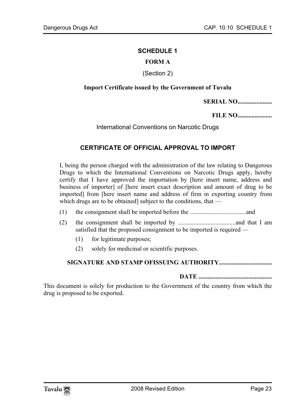#### <span id="page-22-0"></span>**SCHEDULE 1**

## **FORM A**

#### (Section 2)

#### **Import Certificate issued by the Government of Tuvalu**

**SERIAL NO......................** 

**FILE NO......................** 

#### <span id="page-22-1"></span>International Conventions on Narcotic Drugs

## **CERTIFICATE OF OFFICIAL APPROVAL TO IMPORT**

I, being the person charged with the administration of the law relating to Dangerous Drugs to which the International Conventions on Narcotic Drugs apply, hereby certify that I have approved the importation by [here insert name, address and business of importer] of [here insert exact description and amount of drug to be imported] from [here insert name and address of firm in exporting country from which drugs are to be obtained] subject to the conditions, that —

- (1) the consignment shall be imported before the ....................................and
- (2) the consignment shall be imported by .....................................and that I am satisfied that the proposed consignment to be imported is required —
	- (1) for legitimate purposes;
	- (2) solely for medicinal or scientific purposes.

#### **SIGNATURE AND STAMP OFISSUING AUTHORITY..................................**

**DATE ...............................................** 

This document is solely for production to the Government of the country from which the drug is proposed to be exported.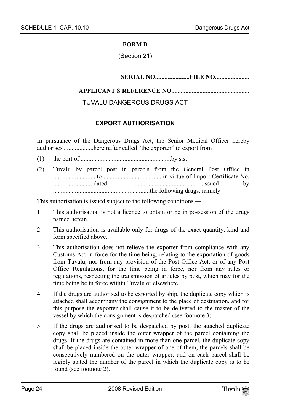#### **FORM B**

(Section 21)

**SERIAL NO......................FILE NO......................** 

### **APPLICANT'S REFERENCE NO..................................................**

## TUVALU DANGEROUS DRUGS ACT

## **EXPORT AUTHORISATION**

In pursuance of the Dangerous Drugs Act, the Senior Medical Officer hereby authorises ...................hereinafter called "the exporter" to export from —

- (1) the port of ..........................................................by s.s.
- (2) Tuvalu by parcel post in parcels from the General Post Office in ............................to ......................................in virtue of Import Certificate No. ..........................dated ..............................................issued by ..............................................................the following drugs, namely —

This authorisation is issued subject to the following conditions —

- 1. This authorisation is not a licence to obtain or be in possession of the drugs named herein.
- 2. This authorisation is available only for drugs of the exact quantity, kind and form specified above.
- 3. This authorisation does not relieve the exporter from compliance with any Customs Act in force for the time being, relating to the exportation of goods from Tuvalu, nor from any provision of the Post Office Act, or of any Post Office Regulations, for the time being in force, nor from any rules or regulations, respecting the transmission of articles by post, which may for the time being be in force within Tuvalu or elsewhere.
- 4. If the drugs are authorised to be exported by ship, the duplicate copy which is attached shall accompany the consignment to the place of destination, and for this purpose the exporter shall cause it to be delivered to the master of the vessel by which the consignment is despatched (see footnote 3).
- 5. If the drugs are authorised to be despatched by post, the attached duplicate copy shall be placed inside the outer wrapper of the parcel containing the drugs. If the drugs are contained in more than one parcel, the duplicate copy shall be placed inside the outer wrapper of one of them, the parcels shall be consecutively numbered on the outer wrapper, and on each parcel shall be legibly stated the number of the parcel in which the duplicate copy is to be found (see footnote 2).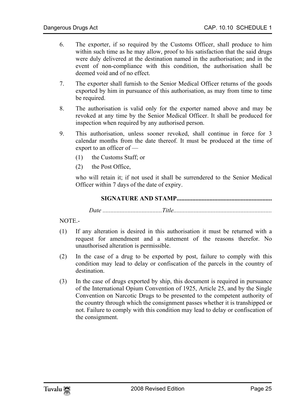- 6. The exporter, if so required by the Customs Officer, shall produce to him within such time as he may allow, proof to his satisfaction that the said drugs were duly delivered at the destination named in the authorisation; and in the event of non-compliance with this condition, the authorisation shall be deemed void and of no effect.
- 7. The exporter shall furnish to the Senior Medical Officer returns of the goods exported by him in pursuance of this authorisation, as may from time to time be required.
- 8. The authorisation is valid only for the exporter named above and may be revoked at any time by the Senior Medical Officer. It shall be produced for inspection when required by any authorised person.
- 9. This authorisation, unless sooner revoked, shall continue in force for 3 calendar months from the date thereof. It must be produced at the time of export to an officer of —
	- (1) the Customs Staff; or
	- (2) the Post Office,

who will retain it; if not used it shall be surrendered to the Senior Medical Officer within 7 days of the date of expiry.

**SIGNATURE AND STAMP.............................................................** 

*Date ......................................Title...............................................................* 

NOTE.-

- (1) If any alteration is desired in this authorisation it must be returned with a request for amendment and a statement of the reasons therefor. No unauthorised alteration is permissible.
- (2) In the case of a drug to be exported by post, failure to comply with this condition may lead to delay or confiscation of the parcels in the country of destination.
- (3) In the case of drugs exported by ship, this document is required in pursuance of the International Opium Convention of 1925, Article 25, and by the Single Convention on Narcotic Drugs to be presented to the competent authority of the country through which the consignment passes whether it is transhipped or not. Failure to comply with this condition may lead to delay or confiscation of the consignment.

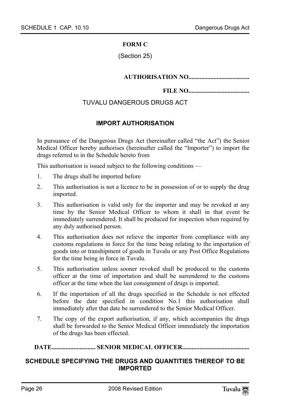#### **FORM C**

(Section 25)

#### <span id="page-25-0"></span>**AUTHORISATION NO.......................................**

#### **FILE NO.......................................**

## TUVALU DANGEROUS DRUGS ACT

## **IMPORT AUTHORISATION**

In pursuance of the Dangerous Drugs Act (hereinafter called "the Act") the Senior Medical Officer hereby authorises (hereinafter called the "Importer") to import the drugs referred to in the Schedule hereto from

This authorisation is issued subject to the following conditions —

- 1. The drugs shall be imported before
- 2. This authorisation is not a licence to be in possession of or to supply the drug imported.
- 3. This authorisation is valid only for the importer and may be revoked at any time by the Senior Medical Officer to whom it shall in that event be immediately surrendered. It shall be produced for inspection when required by any duly authorised person.
- 4. This authorisation does not relieve the importer from compliance with any customs regulations in force for the time being relating to the importation of goods into or transhipment of goods in Tuvalu or any Post Office Regulations for the time being in force in Tuvalu.
- 5. This authorisation unless sooner revoked shall be produced to the customs officer at the time of importation and shall be surrendered to the customs officer at the time when the last consignment of drugs is imported.
- 6. If the importation of all the drugs specified in the Schedule is not effected before the date specified in condition No.1 this authorisation shall immediately after that date be surrendered to the Senior Medical Officer.
- <span id="page-25-1"></span>7. The copy of the export authorisation, if any, which accompanies the drugs shall be forwarded to the Senior Medical Officer immediately the importation of the drugs has been effected.

#### **DATE............................ SENIOR MEDICAL OFFICER...........................................**

### **SCHEDULE SPECIFYING THE DRUGS AND QUANTITIES THEREOF TO BE IMPORTED**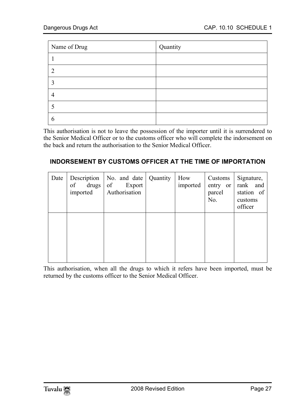| Name of Drug | Quantity |
|--------------|----------|
|              |          |
| ာ            |          |
| 3            |          |
| 4            |          |
|              |          |
| h            |          |

<span id="page-26-0"></span>This authorisation is not to leave the possession of the importer until it is surrendered to the Senior Medical Officer or to the customs officer who will complete the indorsement on the back and return the authorisation to the Senior Medical Officer.

## **INDORSEMENT BY CUSTOMS OFFICER AT THE TIME OF IMPORTATION**

| Date | Description<br>of<br>drugs  <br>imported | No. and date   Quantity<br>of<br>Export<br>Authorisation | How<br>imported | Customs<br>entry or<br>parcel<br>No. | Signature,<br>rank and<br>station of<br>customs<br>officer |
|------|------------------------------------------|----------------------------------------------------------|-----------------|--------------------------------------|------------------------------------------------------------|
|      |                                          |                                                          |                 |                                      |                                                            |

This authorisation, when all the drugs to which it refers have been imported, must be returned by the customs officer to the Senior Medical Officer.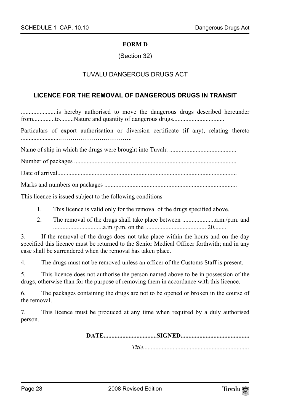#### **FORM D**

(Section 32)

## <span id="page-27-0"></span>TUVALU DANGEROUS DRUGS ACT

#### **LICENCE FOR THE REMOVAL OF DANGEROUS DRUGS IN TRANSIT**

.......................is hereby authorised to move the dangerous drugs described hereunder from..............to.........Nature and quantity of dangerous drugs.................................

Particulars of export authorisation or diversion certificate (if any), relating thereto .........................……………………………..

Name of ship in which the drugs were brought into Tuvalu ...........................................

Number of packages ........................................................................................................

Date of arrival...................................................................................................................

Marks and numbers on packages .....................................................................................

This licence is issued subject to the following conditions —

- 1. This licence is valid only for the removal of the drugs specified above.
- 2. The removal of the drugs shall take place between .....................a.m./p.m. and ................................a.m./p.m. on the ....................................... 20........

3. If the removal of the drugs does not take place within the hours and on the day specified this licence must be returned to the Senior Medical Officer forthwith; and in any case shall be surrendered when the removal has taken place.

4. The drugs must not be removed unless an officer of the Customs Staff is present.

5. This licence does not authorise the person named above to be in possession of the drugs, otherwise than for the purpose of removing them in accordance with this licence.

6. The packages containing the drugs are not to be opened or broken in the course of the removal.

7. This licence must be produced at any time when required by a duly authorised person.

**DATE..................................SIGNED............................................** 

*Title....................................................................*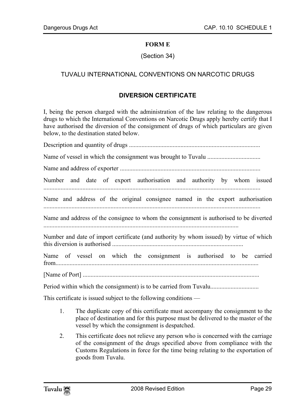### **FORM E**

## (Section 34)

## TUVALU INTERNATIONAL CONVENTIONS ON NARCOTIC DRUGS

### **DIVERSION CERTIFICATE**

I, being the person charged with the administration of the law relating to the dangerous drugs to which the International Conventions on Narcotic Drugs apply hereby certify that I have authorised the diversion of the consignment of drugs of which particulars are given below, to the destination stated below.

| Number and date of export authorisation and authority by whom issued                    |  |  |
|-----------------------------------------------------------------------------------------|--|--|
| Name and address of the original consignee named in the export authorisation            |  |  |
| Name and address of the consignee to whom the consignment is authorised to be diverted  |  |  |
| Number and date of import certificate (and authority by whom issued) by virtue of which |  |  |
| Name of vessel on which the consignment is authorised to be carried                     |  |  |
|                                                                                         |  |  |
| Period within which the consignment) is to be carried from Tuvalu                       |  |  |

This certificate is issued subject to the following conditions —

- 1. The duplicate copy of this certificate must accompany the consignment to the place of destination and for this purpose must be delivered to the master of the vessel by which the consignment is despatched.
- 2. This certificate does not relieve any person who is concerned with the carriage of the consignment of the drugs specified above from compliance with the Customs Regulations in force for the time being relating to the exportation of goods from Tuvalu.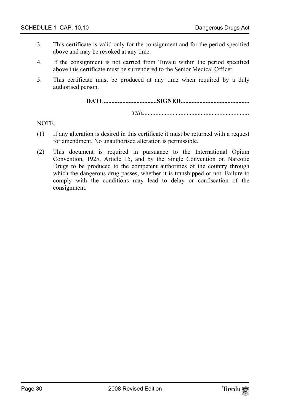- 3. This certificate is valid only for the consignment and for the period specified above and may be revoked at any time.
- 4. If the consignment is not carried from Tuvalu within the period specified above this certificate must be surrendered to the Senior Medical Officer.
- 5. This certificate must be produced at any time when required by a duly authorised person.

## **DATE..................................SIGNED............................................**

*Title....................................................................* 

NOTE.-

- (1) If any alteration is desired in this certificate it must be returned with a request for amendment. No unauthorised alteration is permissible.
- (2) This document is required in pursuance to the International Opium Convention, 1925, Article 15, and by the Single Convention on Narcotic Drugs to be produced to the competent authorities of the country through which the dangerous drug passes, whether it is transhipped or not. Failure to comply with the conditions may lead to delay or confiscation of the consignment.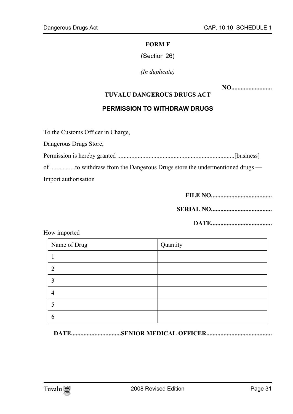#### **FORM F**

(Section 26)

<span id="page-30-0"></span>*(In duplicate)* 

**NO..........................** 

### **TUVALU DANGEROUS DRUGS ACT**

## **PERMISSION TO WITHDRAW DRUGS**

To the Customs Officer in Charge,

Dangerous Drugs Store,

Permission is hereby granted ...........................................................................[business] of ................to withdraw from the Dangerous Drugs store the undermentioned drugs — Import authorisation

**FILE NO.......................................** 

**SERIAL NO.......................................** 

**DATE.......................................** 

| Name of Drug | Quantity |
|--------------|----------|
|              |          |
|              |          |
|              |          |
|              |          |
|              |          |
|              |          |

How imported

**DATE................................SENIOR MEDICAL OFFICER..........................................**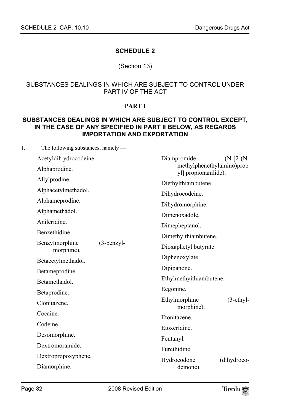## <span id="page-31-0"></span>**SCHEDULE 2**

## (Section 13)

### <span id="page-31-1"></span>SUBSTANCES DEALINGS IN WHICH ARE SUBJECT TO CONTROL UNDER PART IV OF THE ACT

### **PART I**

## **SUBSTANCES DEALINGS IN WHICH ARE SUBJECT TO CONTROL EXCEPT, IN THE CASE OF ANY SPECIFIED IN PART II BELOW, AS REGARDS IMPORTATION AND EXPORTATION**

| 1. | The following substances, namely — |              |                                                   |  |  |  |
|----|------------------------------------|--------------|---------------------------------------------------|--|--|--|
|    | Acetyldih ydrocodeine.             |              | Diampromide<br>$(N-[2-(N-$                        |  |  |  |
|    | Alphaprodine.                      |              | methylphenethylamino)prop<br>yl] propionanilide). |  |  |  |
|    | Allylprodine.                      |              | Diethylthiambutene.                               |  |  |  |
|    | Alphacetylmethadol.                |              | Dihydrocodeine.                                   |  |  |  |
|    | Alphameprodine.                    |              | Dihydromorphine.<br>Dimenoxadole.                 |  |  |  |
|    | Alphamethadol.                     |              |                                                   |  |  |  |
|    | Anileridine.                       |              | Dimepheptanol.                                    |  |  |  |
|    | Benzethidine.                      |              | Dimethylthiambutene.                              |  |  |  |
|    | Benzylmorphine<br>morphine).       | $(3-benzyl-$ | Dioxaphetyl butyrate.                             |  |  |  |
|    | Betacetylmethadol.                 |              | Diphenoxylate.                                    |  |  |  |
|    | Betameprodine.                     |              | Dipipanone.                                       |  |  |  |
|    | Betamethadol.                      |              | Ethylmethyithiambutene.                           |  |  |  |
|    | Betaprodine.                       |              | Ecgonine.                                         |  |  |  |
|    | Clonitazene.                       |              | Ethylmorphine<br>$(3-ethyl-$<br>morphine).        |  |  |  |
|    | Cocaine.                           |              | Etonitazene.                                      |  |  |  |
|    | Codeine.                           |              | Etoxeridine.                                      |  |  |  |
|    | Desomorphine.                      |              | Fentanyl.                                         |  |  |  |
|    | Dextromoramide.                    |              | Furethidine.                                      |  |  |  |
|    | Dextropropoxyphene.                |              | Hydrocodone<br>(dihydroco-                        |  |  |  |
|    | Diamorphine.                       |              | deinone).                                         |  |  |  |
|    |                                    |              |                                                   |  |  |  |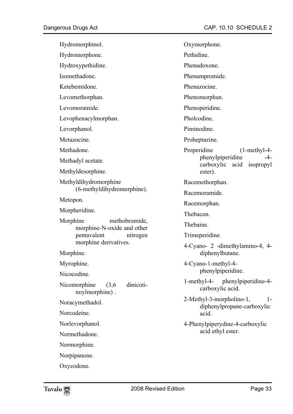| Hydromorphinol.                                         | Oxymorphone.                                                                                     |  |  |
|---------------------------------------------------------|--------------------------------------------------------------------------------------------------|--|--|
| Hydromorphone.                                          | Pethidine.<br>Phenadoxone.                                                                       |  |  |
| Hydroxypethidine.                                       |                                                                                                  |  |  |
| Isomethadone.                                           | Phenampromide.                                                                                   |  |  |
| Ketebemidone.                                           | Phenazocine.<br>Phenomorphan.<br>Phenoperidine.<br>Pholcodine.<br>Piminodine.<br>Proheptazine.   |  |  |
| Levomethorphan.                                         |                                                                                                  |  |  |
| Levomoramide.                                           |                                                                                                  |  |  |
| Levophenacylmorphan.                                    |                                                                                                  |  |  |
| Levorphanol.                                            |                                                                                                  |  |  |
| Metazocine.                                             |                                                                                                  |  |  |
| Methadone.<br>Methadyl acetate.<br>Methyldesorphine.    | Properidine<br>$(1-methyl-4-$<br>phenyIpiperidine<br>-4-<br>carboxylic acid isopropyl<br>ester). |  |  |
| Methyldihydromorphine<br>(6-methyldihydromorphine).     | Racemethorphan.<br>Racemoramide.                                                                 |  |  |
| Metopon.                                                | Racemorphan.<br>Thebacon.                                                                        |  |  |
| Morpheridine.                                           |                                                                                                  |  |  |
| Morphine<br>methobromide,<br>morphine-N-oxide and other | Thebaine.                                                                                        |  |  |
| pentavalent<br>nitrogen                                 | Trimeperidine.                                                                                   |  |  |
| morphine derivatives.<br>Morphine.                      | 4-Cyano- 2 -dimethylamino-4, 4-<br>diphenylbutane.                                               |  |  |
| Myrophine.<br>Nicocodine.                               | 4-Cyano-1-methyl-4-<br>phenylpiperidine.                                                         |  |  |
| Nicomorphine $(3,6)$<br>dinicoti-<br>noylmorphine).     | 1-methyl-4- phenylpiperidine-4-<br>carboxylic acid.                                              |  |  |
| Noracymethadol.<br>Norcodeine.                          | 2-Methyl-3-morpholino-1,<br>$1 -$<br>diphenylpropane-carboxylic<br>acid.                         |  |  |
| Norlevorphanol.<br>Normethadone.                        | 4-Phenylpiperydine-4-carboxylic<br>acid ethyl ester.                                             |  |  |
| Normorphine.                                            |                                                                                                  |  |  |
| Norpipanone.                                            |                                                                                                  |  |  |
|                                                         |                                                                                                  |  |  |

Oxycodone.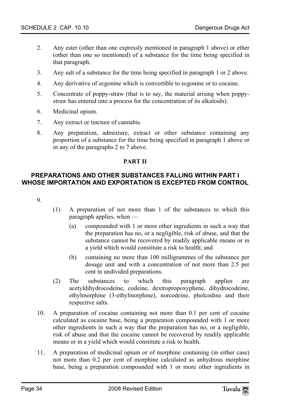- 2. Any ester (other than one expressly mentioned in paragraph 1 above) or ether (other than one so mentioned) of a substance for the time being specified in that paragraph.
- 3. Any salt of a substance for the time being specified in paragraph 1 or 2 above.
- 4. Any derivative of ecgonine which is convertible to ecgonine or to cocaine.
- 5. Concentrate of poppy-straw (that is to say, the material arising when poppystraw has entered into a process for the concentration of its alkaloids).
- 6. Medicinal opium.
- 7. Any extract or tincture of cannabis.
- <span id="page-33-0"></span>8. Any preparation, admixture, extract or other substance containing any proportion of a substance for the time being specified in paragraph 1 above or in any of the paragraphs 2 to 7 above.

## **PART II**

## **PREPARATIONS AND OTHER SUBSTANCES FALLING WITHIN PART I WHOSE IMPORTATION AND EXPORTATION IS EXCEPTED FROM CONTROL**

9.

- (1) A preparation of not more than 1 of the substances to which this paragraph applies, when —
	- (a) compounded with 1 or more other ingredients in such a way that the preparation has no, or a negligible, risk of abuse, and that the substance cannot be recovered by readily applicable means or in a yield which would constitute a risk to health; and
	- (b) containing no more than 100 milligrammes of the substance per dosage unit and with a concentration of not more than 2.5 per cent in undivided preparations.
- (2) The substances to which this paragraph applies are acetyldihydrocodeine, codeine, dextropropoxyphene, dihydrocodeine, ethylmorphine (3-ethylmorphine), norcodeine, pholcodine and their respective salts.
- 10. A preparation of cocaine containing not more than 0.1 per cent of cocaine calculated as cocaine base, being a preparation compounded with 1 or more other ingredients in such a way that the preparation has no, or a negligible, risk of abuse and that the cocaine cannot be recovered by readily applicable means or in a yield which would constitute a risk to health.
- 11. A preparation of medicinal opium or of morphine containing (in either case) not more than 0.2 per cent of morphine calculated as anhydrous morphine base, being a preparation compounded with 1 or more other ingredients in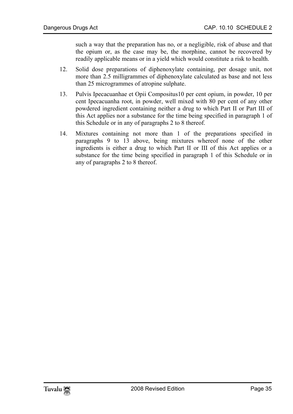such a way that the preparation has no, or a negligible, risk of abuse and that the opium or, as the case may be, the morphine, cannot be recovered by readily applicable means or in a yield which would constitute a risk to health.

- 12. Solid dose preparations of diphenoxylate containing, per dosage unit, not more than 2.5 milligrammes of diphenoxylate calculated as base and not less than 25 microgrammes of atropine sulphate.
- 13. Pulvis Ipecacuanhae et Opii Compositus10 per cent opium, in powder, 10 per cent Ipecacuanha root, in powder, well mixed with 80 per cent of any other powdered ingredient containing neither a drug to which Part II or Part III of this Act applies nor a substance for the time being specified in paragraph 1 of this Schedule or in any of paragraphs 2 to 8 thereof.
- 14. Mixtures containing not more than 1 of the preparations specified in paragraphs 9 to 13 above, being mixtures whereof none of the other ingredients is either a drug to which Part II or III of this Act applies or a substance for the time being specified in paragraph 1 of this Schedule or in any of paragraphs 2 to 8 thereof.